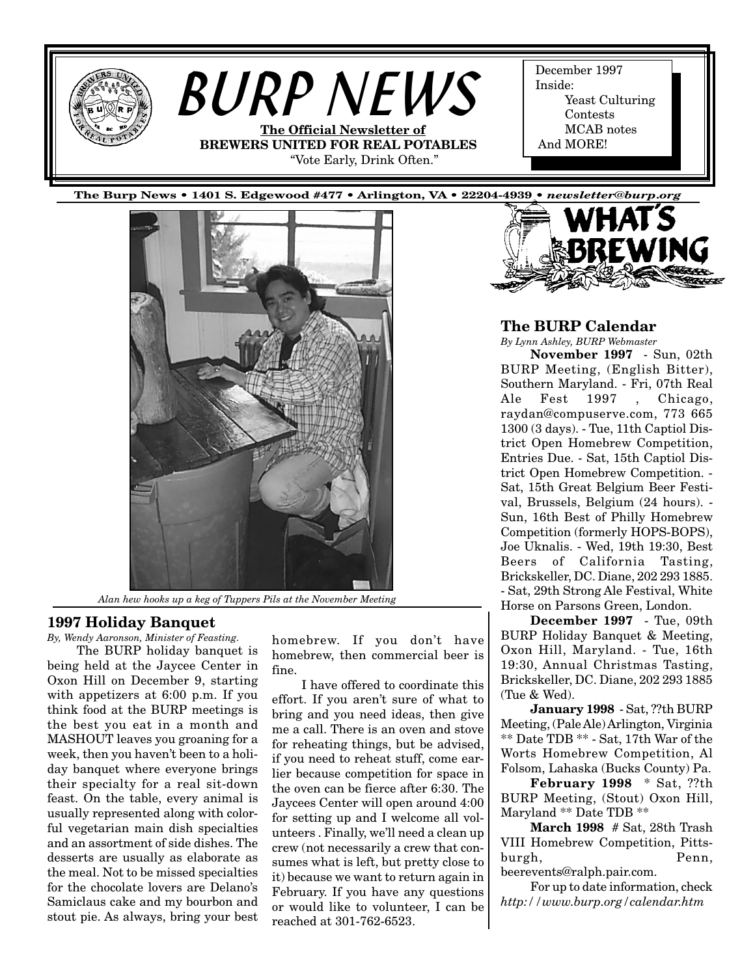<span id="page-0-0"></span>



*Alan hew hooks up a keg of Tuppers Pils at the November Meeting*

#### **1997 Holiday Banquet**

*By, Wendy Aaronson, Minister of Feasting.* The BURP holiday banquet is being held at the Jaycee Center in Oxon Hill on December 9, starting with appetizers at 6:00 p.m. If you think food at the BURP meetings is the best you eat in a month and MASHOUT leaves you groaning for a week, then you haven't been to a holiday banquet where everyone brings their specialty for a real sit-down feast. On the table, every animal is usually represented along with colorful vegetarian main dish specialties and an assortment of side dishes. The desserts are usually as elaborate as the meal. Not to be missed specialties for the chocolate lovers are Delano's Samiclaus cake and my bourbon and stout pie. As always, bring your best

homebrew. If you don't have homebrew, then commercial beer is fine.

I have offered to coordinate this effort. If you aren't sure of what to bring and you need ideas, then give me a call. There is an oven and stove for reheating things, but be advised, if you need to reheat stuff, come earlier because competition for space in the oven can be fierce after 6:30. The Jaycees Center will open around 4:00 for setting up and I welcome all volunteers . Finally, we'll need a clean up crew (not necessarily a crew that consumes what is left, but pretty close to it) because we want to return again in February. If you have any questions or would like to volunteer, I can be reached at 301-762-6523.

#### **The BURP Calendar**

*By Lynn Ashley, BURP Webmaster* **November 1997** - Sun, 02th

BURP Meeting, (English Bitter), Southern Maryland. - Fri, 07th Real Ale Fest 1997 , Chicago, raydan@compuserve.com, 773 665 1300 (3 days). - Tue, 11th Captiol District Open Homebrew Competition, Entries Due. - Sat, 15th Captiol District Open Homebrew Competition. - Sat, 15th Great Belgium Beer Festival, Brussels, Belgium (24 hours). - Sun, 16th Best of Philly Homebrew Competition (formerly HOPS-BOPS), Joe Uknalis. - Wed, 19th 19:30, Best Beers of California Tasting, Brickskeller, DC. Diane, 202 293 1885. - Sat, 29th Strong Ale Festival, White Horse on Parsons Green, London.

**December 1997** - Tue, 09th BURP Holiday Banquet & Meeting, Oxon Hill, Maryland. - Tue, 16th 19:30, Annual Christmas Tasting, Brickskeller, DC. Diane, 202 293 1885 (Tue & Wed).

**January 1998** - Sat, ??th BURP Meeting, (Pale Ale) Arlington, Virginia \*\* Date TDB \*\* - Sat, 17th War of the Worts Homebrew Competition, Al Folsom, Lahaska (Bucks County) Pa.

**February 1998** \* Sat, ??th BURP Meeting, (Stout) Oxon Hill, Maryland \*\* Date TDB \*\*

**March 1998** # Sat, 28th Trash VIII Homebrew Competition, Pittsburgh, Penn, beerevents@ralph.pair.com.

For up to date information, check *http://www.burp.org/calendar.htm*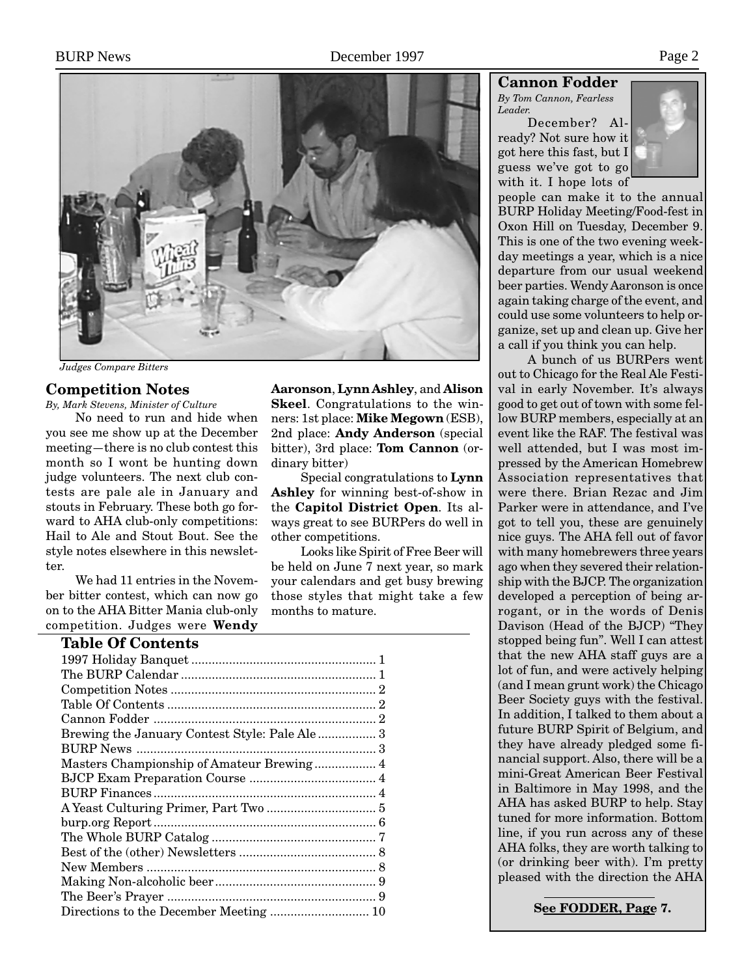

*Judges Compare Bitters*

#### **Competition Notes**

*By, Mark Stevens, Minister of Culture*

No need to run and hide when you see me show up at the December meeting—there is no club contest this month so I wont be hunting down judge volunteers. The next club contests are pale ale in January and stouts in February. These both go forward to AHA club-only competitions: Hail to Ale and Stout Bout. See the style notes elsewhere in this newsletter.

We had 11 entries in the November bitter contest, which can now go on to the AHA Bitter Mania club-only competition. Judges were **Wendy**

# **Table Of Contents**

| Brewing the January Contest Style: Pale Ale 3 |  |
|-----------------------------------------------|--|
|                                               |  |
| Masters Championship of Amateur Brewing 4     |  |
|                                               |  |
|                                               |  |
|                                               |  |
|                                               |  |
|                                               |  |
|                                               |  |
|                                               |  |
|                                               |  |
|                                               |  |
|                                               |  |

**Aaronson**, **Lynn Ashley**, and **Alison Skeel**. Congratulations to the winners: 1st place: **Mike Megown** (ESB), 2nd place: **Andy Anderson** (special bitter), 3rd place: **Tom Cannon** (ordinary bitter)

Special congratulations to **Lynn Ashley** for winning best-of-show in the **Capitol District Open**. Its always great to see BURPers do well in other competitions.

Looks like Spirit of Free Beer will be held on June 7 next year, so mark your calendars and get busy brewing those styles that might take a few months to mature.

## **Cannon Fodder**

*By Tom Cannon, Fearless Leader.*

December? Already? Not sure how it got here this fast, but I guess we've got to go with it. I hope lots of



people can make it to the annual BURP Holiday Meeting/Food-fest in Oxon Hill on Tuesday, December 9. This is one of the two evening weekday meetings a year, which is a nice departure from our usual weekend beer parties. Wendy Aaronson is once again taking charge of the event, and could use some volunteers to help organize, set up and clean up. Give her a call if you think you can help.

A bunch of us BURPers went out to Chicago for the Real Ale Festival in early November. It's always good to get out of town with some fellow BURP members, especially at an event like the RAF. The festival was well attended, but I was most impressed by the American Homebrew Association representatives that were there. Brian Rezac and Jim Parker were in attendance, and I've got to tell you, these are genuinely nice guys. The AHA fell out of favor with many homebrewers three years ago when they severed their relationship with the BJCP. The organization developed a perception of being arrogant, or in the words of Denis Davison (Head of the BJCP) "They stopped being fun". Well I can attest that the new AHA staff guys are a lot of fun, and were actively helping (and I mean grunt work) the Chicago Beer Society guys with the festival. In addition, I talked to them about a future BURP Spirit of Belgium, and they have already pledged some financial support. Also, there will be a mini-Great American Beer Festival in Baltimore in May 1998, and the AHA has asked BURP to help. Stay tuned for more information. Bottom line, if you run across any of these AHA folks, they are worth talking to (or drinking beer with). I'm pretty pleased with the direction the AHA

**See FODDER, Page 7.**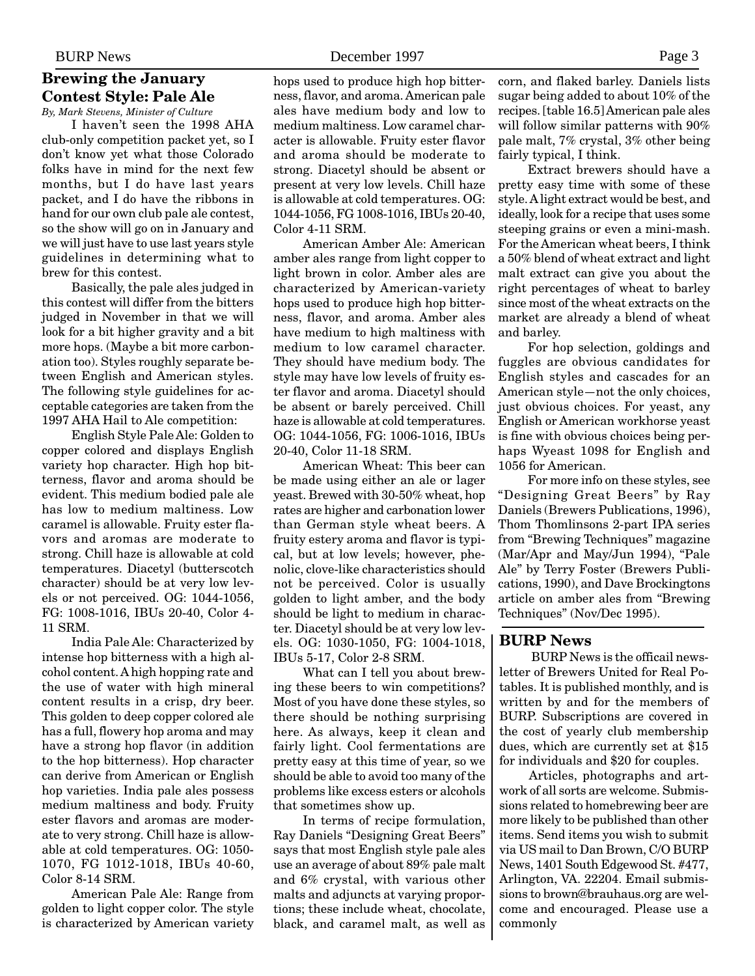# <span id="page-2-0"></span>**Brewing the January Contest Style: Pale Ale**

*By, Mark Stevens, Minister of Culture* I haven't seen the 1998 AHA

club-only competition packet yet, so I don't know yet what those Colorado folks have in mind for the next few months, but I do have last years packet, and I do have the ribbons in hand for our own club pale ale contest, so the show will go on in January and we will just have to use last years style guidelines in determining what to brew for this contest.

Basically, the pale ales judged in this contest will differ from the bitters judged in November in that we will look for a bit higher gravity and a bit more hops. (Maybe a bit more carbonation too). Styles roughly separate between English and American styles. The following style guidelines for acceptable categories are taken from the 1997 AHA Hail to Ale competition:

English Style Pale Ale: Golden to copper colored and displays English variety hop character. High hop bitterness, flavor and aroma should be evident. This medium bodied pale ale has low to medium maltiness. Low caramel is allowable. Fruity ester flavors and aromas are moderate to strong. Chill haze is allowable at cold temperatures. Diacetyl (butterscotch character) should be at very low levels or not perceived. OG: 1044-1056, FG: 1008-1016, IBUs 20-40, Color 4- 11 SRM.

India Pale Ale: Characterized by intense hop bitterness with a high alcohol content. A high hopping rate and the use of water with high mineral content results in a crisp, dry beer. This golden to deep copper colored ale has a full, flowery hop aroma and may have a strong hop flavor (in addition to the hop bitterness). Hop character can derive from American or English hop varieties. India pale ales possess medium maltiness and body. Fruity ester flavors and aromas are moderate to very strong. Chill haze is allowable at cold temperatures. OG: 1050- 1070, FG 1012-1018, IBUs 40-60, Color 8-14 SRM.

American Pale Ale: Range from golden to light copper color. The style is characterized by American variety hops used to produce high hop bitterness, flavor, and aroma. American pale ales have medium body and low to medium maltiness. Low caramel character is allowable. Fruity ester flavor and aroma should be moderate to strong. Diacetyl should be absent or present at very low levels. Chill haze is allowable at cold temperatures. OG: 1044-1056, FG 1008-1016, IBUs 20-40, Color 4-11 SRM.

American Amber Ale: American amber ales range from light copper to light brown in color. Amber ales are characterized by American-variety hops used to produce high hop bitterness, flavor, and aroma. Amber ales have medium to high maltiness with medium to low caramel character. They should have medium body. The style may have low levels of fruity ester flavor and aroma. Diacetyl should be absent or barely perceived. Chill haze is allowable at cold temperatures. OG: 1044-1056, FG: 1006-1016, IBUs 20-40, Color 11-18 SRM.

American Wheat: This beer can be made using either an ale or lager yeast. Brewed with 30-50% wheat, hop rates are higher and carbonation lower than German style wheat beers. A fruity estery aroma and flavor is typical, but at low levels; however, phenolic, clove-like characteristics should not be perceived. Color is usually golden to light amber, and the body should be light to medium in character. Diacetyl should be at very low levels. OG: 1030-1050, FG: 1004-1018, IBUs 5-17, Color 2-8 SRM.

What can I tell you about brewing these beers to win competitions? Most of you have done these styles, so there should be nothing surprising here. As always, keep it clean and fairly light. Cool fermentations are pretty easy at this time of year, so we should be able to avoid too many of the problems like excess esters or alcohols that sometimes show up.

In terms of recipe formulation, Ray Daniels "Designing Great Beers" says that most English style pale ales use an average of about 89% pale malt and 6% crystal, with various other malts and adjuncts at varying proportions; these include wheat, chocolate, black, and caramel malt, as well as corn, and flaked barley. Daniels lists sugar being added to about 10% of the recipes. [table 16.5] American pale ales will follow similar patterns with 90% pale malt, 7% crystal, 3% other being fairly typical, I think.

Extract brewers should have a pretty easy time with some of these style. A light extract would be best, and ideally, look for a recipe that uses some steeping grains or even a mini-mash. For the American wheat beers, I think a 50% blend of wheat extract and light malt extract can give you about the right percentages of wheat to barley since most of the wheat extracts on the market are already a blend of wheat and barley.

For hop selection, goldings and fuggles are obvious candidates for English styles and cascades for an American style—not the only choices, just obvious choices. For yeast, any English or American workhorse yeast is fine with obvious choices being perhaps Wyeast 1098 for English and 1056 for American.

For more info on these styles, see "Designing Great Beers" by Ray Daniels (Brewers Publications, 1996), Thom Thomlinsons 2-part IPA series from "Brewing Techniques" magazine (Mar/Apr and May/Jun 1994), "Pale Ale" by Terry Foster (Brewers Publications, 1990), and Dave Brockingtons article on amber ales from "Brewing Techniques" (Nov/Dec 1995).

#### **BURP News**

 BURP News is the officail newsletter of Brewers United for Real Potables. It is published monthly, and is written by and for the members of BURP. Subscriptions are covered in the cost of yearly club membership dues, which are currently set at \$15 for individuals and \$20 for couples.

Articles, photographs and artwork of all sorts are welcome. Submissions related to homebrewing beer are more likely to be published than other items. Send items you wish to submit via US mail to Dan Brown, C/O BURP News, 1401 South Edgewood St. #477, Arlington, VA. 22204. Email submissions to brown@brauhaus.org are welcome and encouraged. Please use a commonly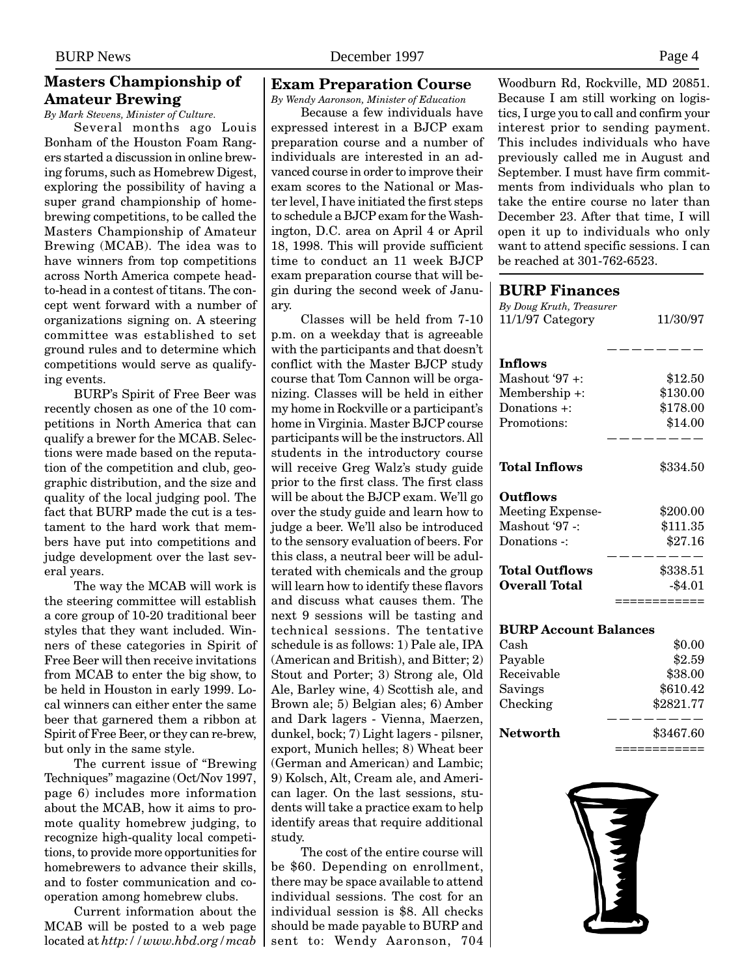# <span id="page-3-0"></span>**Masters Championship of Amateur Brewing**

*By Mark Stevens, Minister of Culture.*

Several months ago Louis Bonham of the Houston Foam Rangers started a discussion in online brewing forums, such as Homebrew Digest, exploring the possibility of having a super grand championship of homebrewing competitions, to be called the Masters Championship of Amateur Brewing (MCAB). The idea was to have winners from top competitions across North America compete headto-head in a contest of titans. The concept went forward with a number of organizations signing on. A steering committee was established to set ground rules and to determine which competitions would serve as qualifying events.

BURP's Spirit of Free Beer was recently chosen as one of the 10 competitions in North America that can qualify a brewer for the MCAB. Selections were made based on the reputation of the competition and club, geographic distribution, and the size and quality of the local judging pool. The fact that BURP made the cut is a testament to the hard work that members have put into competitions and judge development over the last several years.

The way the MCAB will work is the steering committee will establish a core group of 10-20 traditional beer styles that they want included. Winners of these categories in Spirit of Free Beer will then receive invitations from MCAB to enter the big show, to be held in Houston in early 1999. Local winners can either enter the same beer that garnered them a ribbon at Spirit of Free Beer, or they can re-brew, but only in the same style.

The current issue of "Brewing Techniques" magazine (Oct/Nov 1997, page 6) includes more information about the MCAB, how it aims to promote quality homebrew judging, to recognize high-quality local competitions, to provide more opportunities for homebrewers to advance their skills, and to foster communication and cooperation among homebrew clubs.

Current information about the MCAB will be posted to a web page located at *http://www.hbd.org/mcab*

## **Exam Preparation Course**

*By Wendy Aaronson, Minister of Education*

Because a few individuals have expressed interest in a BJCP exam preparation course and a number of individuals are interested in an advanced course in order to improve their exam scores to the National or Master level, I have initiated the first steps to schedule a BJCP exam for the Washington, D.C. area on April 4 or April 18, 1998. This will provide sufficient time to conduct an 11 week BJCP exam preparation course that will begin during the second week of January.

Classes will be held from 7-10 p.m. on a weekday that is agreeable with the participants and that doesn't conflict with the Master BJCP study course that Tom Cannon will be organizing. Classes will be held in either my home in Rockville or a participant's home in Virginia. Master BJCP course participants will be the instructors. All students in the introductory course will receive Greg Walz's study guide prior to the first class. The first class will be about the BJCP exam. We'll go over the study guide and learn how to judge a beer. We'll also be introduced to the sensory evaluation of beers. For this class, a neutral beer will be adulterated with chemicals and the group will learn how to identify these flavors and discuss what causes them. The next 9 sessions will be tasting and technical sessions. The tentative schedule is as follows: 1) Pale ale, IPA (American and British), and Bitter; 2) Stout and Porter; 3) Strong ale, Old Ale, Barley wine, 4) Scottish ale, and Brown ale; 5) Belgian ales; 6) Amber and Dark lagers - Vienna, Maerzen, dunkel, bock; 7) Light lagers - pilsner, export, Munich helles; 8) Wheat beer (German and American) and Lambic; 9) Kolsch, Alt, Cream ale, and American lager. On the last sessions, students will take a practice exam to help identify areas that require additional study.

The cost of the entire course will be \$60. Depending on enrollment, there may be space available to attend individual sessions. The cost for an individual session is \$8. All checks should be made payable to BURP and sent to: Wendy Aaronson, 704 Woodburn Rd, Rockville, MD 20851. Because I am still working on logistics, I urge you to call and confirm your interest prior to sending payment. This includes individuals who have previously called me in August and September. I must have firm commitments from individuals who plan to take the entire course no later than December 23. After that time, I will open it up to individuals who only want to attend specific sessions. I can be reached at 301-762-6523.

#### **BURP Finances**

| By Doug Kruth, Treasurer<br>11/1/97 Category | 11/30/97       |  |
|----------------------------------------------|----------------|--|
| <b>Inflows</b>                               |                |  |
| Mashout '97 +:                               | \$12.50        |  |
| Membership +:                                | \$130.00       |  |
| Donations +:                                 | \$178.00       |  |
| Promotions:                                  | \$14.00        |  |
|                                              |                |  |
| Total Inflows                                | $\$334.50$     |  |
| Outflows                                     |                |  |
| Meeting Expense-                             | \$200.00       |  |
| Mashout '97 -:                               | \$111.35       |  |
| Donations -:                                 | \$27.16        |  |
| <b>Total Outflows</b>                        | \$338.51       |  |
| <b>Overall Total</b>                         | $-$4.01$       |  |
|                                              |                |  |
| <b>BURP Account Balances</b>                 |                |  |
| Cash                                         | \$0.00         |  |
| Payable                                      | \$2.59         |  |
| Receivable                                   | \$38.00        |  |
| Savings                                      | \$610.42       |  |
| Checking                                     | \$2821.77      |  |
| <b>Networth</b>                              | \$3467.60      |  |
|                                              | :====<br>----- |  |

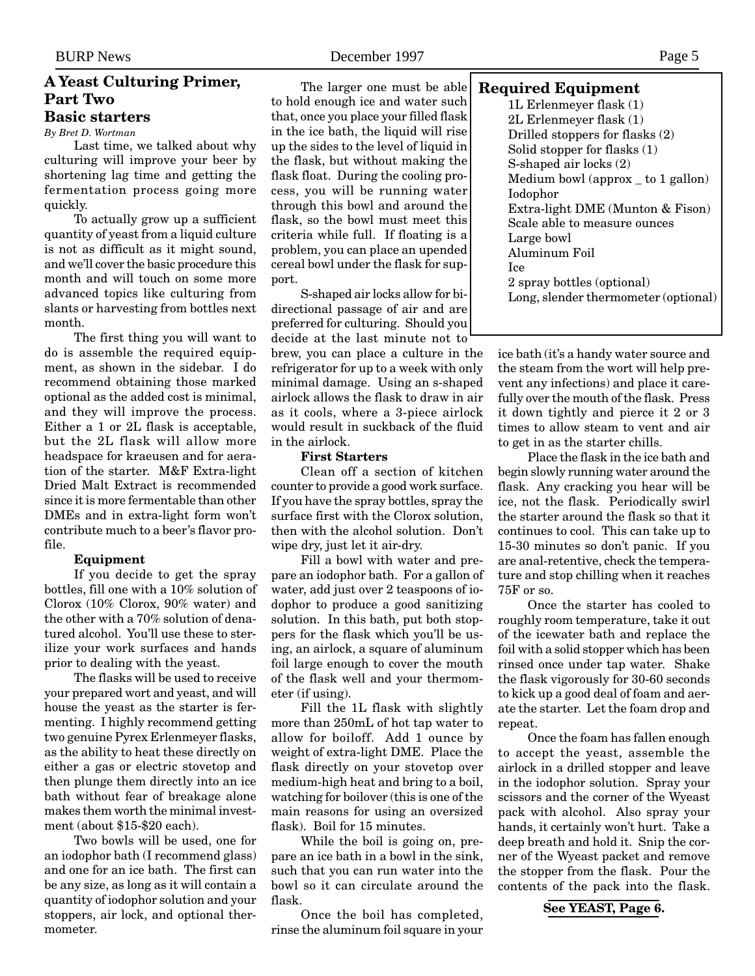#### <span id="page-4-0"></span>**A Yeast Culturing Primer, Part Two Basic starters**

*By Bret D. Wortman*

Last time, we talked about why culturing will improve your beer by shortening lag time and getting the fermentation process going more quickly.

To actually grow up a sufficient quantity of yeast from a liquid culture is not as difficult as it might sound, and we'll cover the basic procedure this month and will touch on some more advanced topics like culturing from slants or harvesting from bottles next month.

The first thing you will want to do is assemble the required equipment, as shown in the sidebar. I do recommend obtaining those marked optional as the added cost is minimal, and they will improve the process. Either a 1 or 2L flask is acceptable, but the 2L flask will allow more headspace for kraeusen and for aeration of the starter. M&F Extra-light Dried Malt Extract is recommended since it is more fermentable than other DMEs and in extra-light form won't contribute much to a beer's flavor profile.

#### **Equipment**

If you decide to get the spray bottles, fill one with a 10% solution of Clorox (10% Clorox, 90% water) and the other with a 70% solution of denatured alcohol. You'll use these to sterilize your work surfaces and hands prior to dealing with the yeast.

The flasks will be used to receive your prepared wort and yeast, and will house the yeast as the starter is fermenting. I highly recommend getting two genuine Pyrex Erlenmeyer flasks, as the ability to heat these directly on either a gas or electric stovetop and then plunge them directly into an ice bath without fear of breakage alone makes them worth the minimal investment (about \$15-\$20 each).

Two bowls will be used, one for an iodophor bath (I recommend glass) and one for an ice bath. The first can be any size, as long as it will contain a quantity of iodophor solution and your stoppers, air lock, and optional thermometer.

The larger one must be able to hold enough ice and water such that, once you place your filled flask in the ice bath, the liquid will rise up the sides to the level of liquid in the flask, but without making the flask float. During the cooling process, you will be running water through this bowl and around the flask, so the bowl must meet this criteria while full. If floating is a problem, you can place an upended cereal bowl under the flask for support.

S-shaped air locks allow for bidirectional passage of air and are preferred for culturing. Should you decide at the last minute not to brew, you can place a culture in the refrigerator for up to a week with only minimal damage. Using an s-shaped airlock allows the flask to draw in air as it cools, where a 3-piece airlock would result in suckback of the fluid in the airlock.

#### **First Starters**

Clean off a section of kitchen counter to provide a good work surface. If you have the spray bottles, spray the surface first with the Clorox solution, then with the alcohol solution. Don't wipe dry, just let it air-dry.

Fill a bowl with water and prepare an iodophor bath. For a gallon of water, add just over 2 teaspoons of iodophor to produce a good sanitizing solution. In this bath, put both stoppers for the flask which you'll be using, an airlock, a square of aluminum foil large enough to cover the mouth of the flask well and your thermometer (if using).

Fill the 1L flask with slightly more than 250mL of hot tap water to allow for boiloff. Add 1 ounce by weight of extra-light DME. Place the flask directly on your stovetop over medium-high heat and bring to a boil, watching for boilover (this is one of the main reasons for using an oversized flask). Boil for 15 minutes.

While the boil is going on, prepare an ice bath in a bowl in the sink, such that you can run water into the bowl so it can circulate around the flask.

Once the boil has completed, rinse the aluminum foil square in your

#### **Required Equipment**

1L Erlenmeyer flask (1) 2L Erlenmeyer flask (1) Drilled stoppers for flasks (2) Solid stopper for flasks (1) S-shaped air locks (2) Medium bowl (approx \_ to 1 gallon) Iodophor Extra-light DME (Munton & Fison) Scale able to measure ounces Large bowl Aluminum Foil Ice 2 spray bottles (optional) Long, slender thermometer (optional)

ice bath (it's a handy water source and the steam from the wort will help prevent any infections) and place it carefully over the mouth of the flask. Press it down tightly and pierce it 2 or 3 times to allow steam to vent and air to get in as the starter chills.

Place the flask in the ice bath and begin slowly running water around the flask. Any cracking you hear will be ice, not the flask. Periodically swirl the starter around the flask so that it continues to cool. This can take up to 15-30 minutes so don't panic. If you are anal-retentive, check the temperature and stop chilling when it reaches 75F or so.

Once the starter has cooled to roughly room temperature, take it out of the icewater bath and replace the foil with a solid stopper which has been rinsed once under tap water. Shake the flask vigorously for 30-60 seconds to kick up a good deal of foam and aerate the starter. Let the foam drop and repeat.

Once the foam has fallen enough to accept the yeast, assemble the airlock in a drilled stopper and leave in the iodophor solution. Spray your scissors and the corner of the Wyeast pack with alcohol. Also spray your hands, it certainly won't hurt. Take a deep breath and hold it. Snip the corner of the Wyeast packet and remove the stopper from the flask. Pour the contents of the pack into the flask.

#### **See YEAST, Page 6.**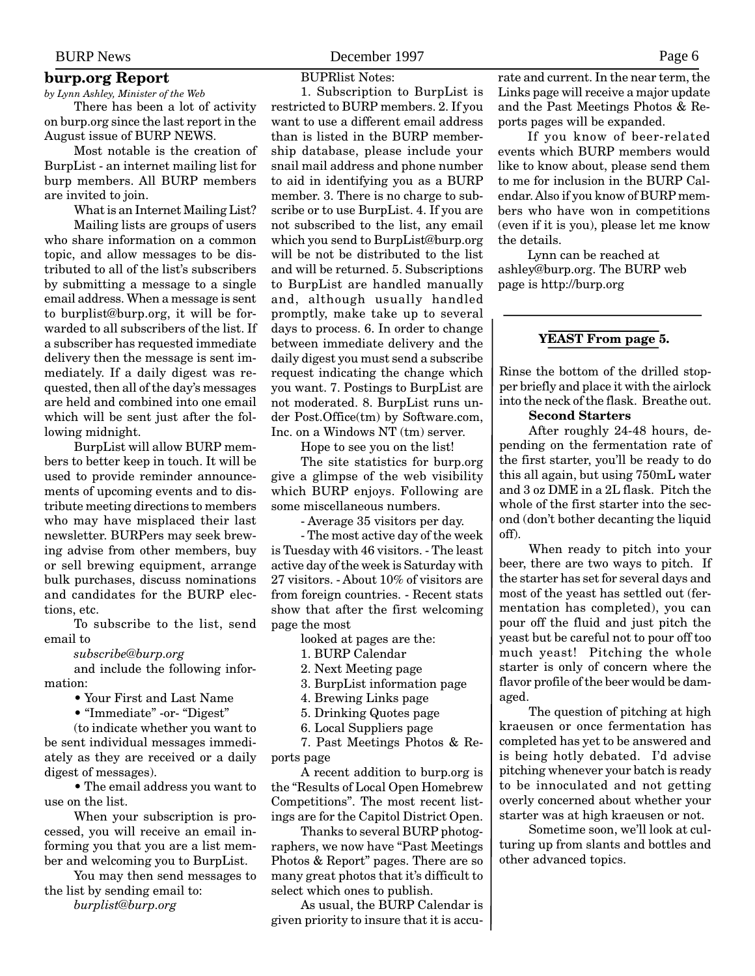# <span id="page-5-0"></span>**burp.org Report**

*by Lynn Ashley, Minister of the Web* There has been a lot of activity

on burp.org since the last report in the August issue of BURP NEWS.

Most notable is the creation of BurpList - an internet mailing list for burp members. All BURP members are invited to join.

What is an Internet Mailing List? Mailing lists are groups of users who share information on a common topic, and allow messages to be distributed to all of the list's subscribers by submitting a message to a single email address. When a message is sent to burplist@burp.org, it will be forwarded to all subscribers of the list. If a subscriber has requested immediate delivery then the message is sent immediately. If a daily digest was requested, then all of the day's messages are held and combined into one email which will be sent just after the following midnight.

BurpList will allow BURP members to better keep in touch. It will be used to provide reminder announcements of upcoming events and to distribute meeting directions to members who may have misplaced their last newsletter. BURPers may seek brewing advise from other members, buy or sell brewing equipment, arrange bulk purchases, discuss nominations and candidates for the BURP elections, etc.

To subscribe to the list, send email to

*subscribe@burp.org*

and include the following information:

• Your First and Last Name

• "Immediate" -or- "Digest"

(to indicate whether you want to be sent individual messages immediately as they are received or a daily digest of messages).

• The email address you want to use on the list.

When your subscription is processed, you will receive an email informing you that you are a list member and welcoming you to BurpList.

You may then send messages to the list by sending email to: *burplist@burp.org*

BUPRlist Notes:

1. Subscription to BurpList is restricted to BURP members. 2. If you want to use a different email address than is listed in the BURP membership database, please include your snail mail address and phone number to aid in identifying you as a BURP member. 3. There is no charge to subscribe or to use BurpList. 4. If you are not subscribed to the list, any email which you send to BurpList@burp.org will be not be distributed to the list and will be returned. 5. Subscriptions to BurpList are handled manually and, although usually handled promptly, make take up to several days to process. 6. In order to change between immediate delivery and the daily digest you must send a subscribe request indicating the change which you want. 7. Postings to BurpList are not moderated. 8. BurpList runs under Post.Office(tm) by Software.com, Inc. on a Windows NT (tm) server.

Hope to see you on the list!

The site statistics for burp.org give a glimpse of the web visibility which BURP enjoys. Following are some miscellaneous numbers.

- Average 35 visitors per day.

- The most active day of the week is Tuesday with 46 visitors. - The least active day of the week is Saturday with 27 visitors. - About 10% of visitors are from foreign countries. - Recent stats show that after the first welcoming page the most

looked at pages are the:

1. BURP Calendar

2. Next Meeting page

3. BurpList information page

4. Brewing Links page

5. Drinking Quotes page

6. Local Suppliers page

7. Past Meetings Photos & Reports page

A recent addition to burp.org is the "Results of Local Open Homebrew Competitions". The most recent listings are for the Capitol District Open.

Thanks to several BURP photographers, we now have "Past Meetings Photos & Report" pages. There are so many great photos that it's difficult to select which ones to publish.

As usual, the BURP Calendar is given priority to insure that it is accurate and current. In the near term, the Links page will receive a major update and the Past Meetings Photos & Reports pages will be expanded.

If you know of beer-related events which BURP members would like to know about, please send them to me for inclusion in the BURP Calendar. Also if you know of BURP members who have won in competitions (even if it is you), please let me know the details.

Lynn can be reached at ashley@burp.org. The BURP web page is http://burp.org

#### **YEAST From page 5.**

Rinse the bottom of the drilled stopper briefly and place it with the airlock into the neck of the flask. Breathe out.

#### **Second Starters**

After roughly 24-48 hours, depending on the fermentation rate of the first starter, you'll be ready to do this all again, but using 750mL water and 3 oz DME in a 2L flask. Pitch the whole of the first starter into the second (don't bother decanting the liquid off).

When ready to pitch into your beer, there are two ways to pitch. If the starter has set for several days and most of the yeast has settled out (fermentation has completed), you can pour off the fluid and just pitch the yeast but be careful not to pour off too much yeast! Pitching the whole starter is only of concern where the flavor profile of the beer would be damaged.

The question of pitching at high kraeusen or once fermentation has completed has yet to be answered and is being hotly debated. I'd advise pitching whenever your batch is ready to be innoculated and not getting overly concerned about whether your starter was at high kraeusen or not.

Sometime soon, we'll look at culturing up from slants and bottles and other advanced topics.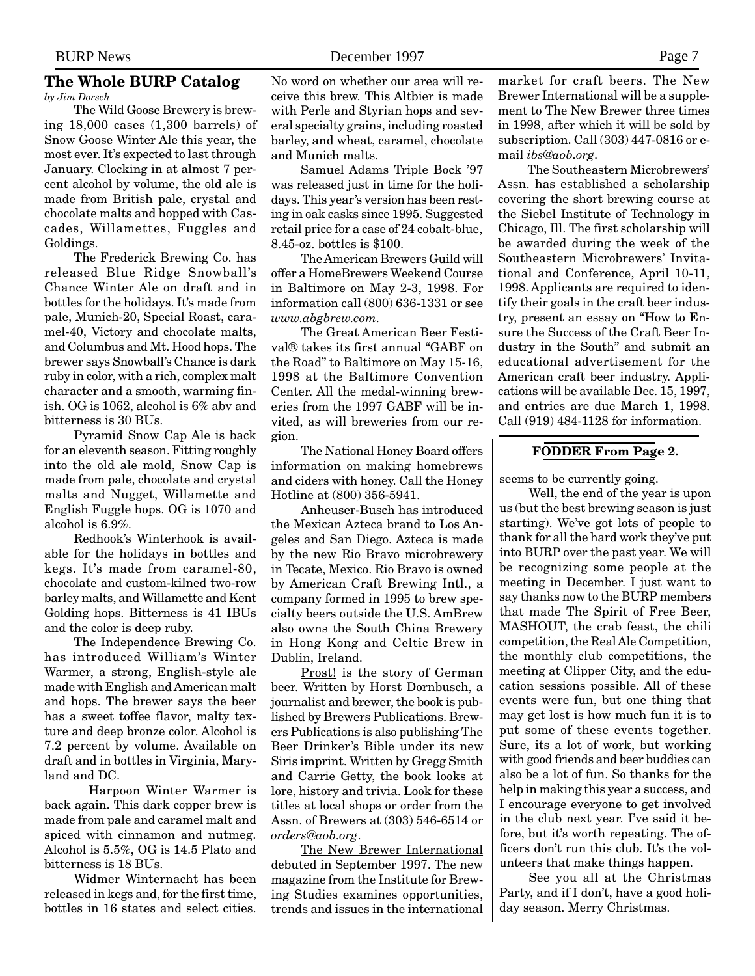# <span id="page-6-0"></span>**The Whole BURP Catalog**

*by Jim Dorsch*

The Wild Goose Brewery is brewing 18,000 cases (1,300 barrels) of Snow Goose Winter Ale this year, the most ever. It's expected to last through January. Clocking in at almost 7 percent alcohol by volume, the old ale is made from British pale, crystal and chocolate malts and hopped with Cascades, Willamettes, Fuggles and Goldings.

The Frederick Brewing Co. has released Blue Ridge Snowball's Chance Winter Ale on draft and in bottles for the holidays. It's made from pale, Munich-20, Special Roast, caramel-40, Victory and chocolate malts, and Columbus and Mt. Hood hops. The brewer says Snowball's Chance is dark ruby in color, with a rich, complex malt character and a smooth, warming finish. OG is 1062, alcohol is 6% abv and bitterness is 30 BUs.

Pyramid Snow Cap Ale is back for an eleventh season. Fitting roughly into the old ale mold, Snow Cap is made from pale, chocolate and crystal malts and Nugget, Willamette and English Fuggle hops. OG is 1070 and alcohol is 6.9%.

Redhook's Winterhook is available for the holidays in bottles and kegs. It's made from caramel-80, chocolate and custom-kilned two-row barley malts, and Willamette and Kent Golding hops. Bitterness is 41 IBUs and the color is deep ruby.

The Independence Brewing Co. has introduced William's Winter Warmer, a strong, English-style ale made with English and American malt and hops. The brewer says the beer has a sweet toffee flavor, malty texture and deep bronze color. Alcohol is 7.2 percent by volume. Available on draft and in bottles in Virginia, Maryland and DC.

Harpoon Winter Warmer is back again. This dark copper brew is made from pale and caramel malt and spiced with cinnamon and nutmeg. Alcohol is 5.5%, OG is 14.5 Plato and bitterness is 18 BUs.

Widmer Winternacht has been released in kegs and, for the first time, bottles in 16 states and select cities. No word on whether our area will receive this brew. This Altbier is made with Perle and Styrian hops and several specialty grains, including roasted barley, and wheat, caramel, chocolate and Munich malts.

Samuel Adams Triple Bock '97 was released just in time for the holidays. This year's version has been resting in oak casks since 1995. Suggested retail price for a case of 24 cobalt-blue, 8.45-oz. bottles is \$100.

The American Brewers Guild will offer a HomeBrewers Weekend Course in Baltimore on May 2-3, 1998. For information call (800) 636-1331 or see *www.abgbrew.com.*

The Great American Beer Festival® takes its first annual "GABF on the Road" to Baltimore on May 15-16, 1998 at the Baltimore Convention Center. All the medal-winning breweries from the 1997 GABF will be invited, as will breweries from our region.

The National Honey Board offers information on making homebrews and ciders with honey. Call the Honey Hotline at (800) 356-5941.

Anheuser-Busch has introduced the Mexican Azteca brand to Los Angeles and San Diego. Azteca is made by the new Rio Bravo microbrewery in Tecate, Mexico. Rio Bravo is owned by American Craft Brewing Intl., a company formed in 1995 to brew specialty beers outside the U.S. AmBrew also owns the South China Brewery in Hong Kong and Celtic Brew in Dublin, Ireland.

Prost! is the story of German beer. Written by Horst Dornbusch, a journalist and brewer, the book is published by Brewers Publications. Brewers Publications is also publishing The Beer Drinker's Bible under its new Siris imprint. Written by Gregg Smith and Carrie Getty, the book looks at lore, history and trivia. Look for these titles at local shops or order from the Assn. of Brewers at (303) 546-6514 or *orders@aob.org*.

The New Brewer International debuted in September 1997. The new magazine from the Institute for Brewing Studies examines opportunities, trends and issues in the international

market for craft beers. The New Brewer International will be a supplement to The New Brewer three times in 1998, after which it will be sold by subscription. Call (303) 447-0816 or email *ibs@aob.org*.

The Southeastern Microbrewers' Assn. has established a scholarship covering the short brewing course at the Siebel Institute of Technology in Chicago, Ill. The first scholarship will be awarded during the week of the Southeastern Microbrewers' Invitational and Conference, April 10-11, 1998. Applicants are required to identify their goals in the craft beer industry, present an essay on "How to Ensure the Success of the Craft Beer Industry in the South" and submit an educational advertisement for the American craft beer industry. Applications will be available Dec. 15, 1997, and entries are due March 1, 1998. Call (919) 484-1128 for information.

#### **FODDER From Page 2.**

seems to be currently going.

Well, the end of the year is upon us (but the best brewing season is just starting). We've got lots of people to thank for all the hard work they've put into BURP over the past year. We will be recognizing some people at the meeting in December. I just want to say thanks now to the BURP members that made The Spirit of Free Beer, MASHOUT, the crab feast, the chili competition, the Real Ale Competition, the monthly club competitions, the meeting at Clipper City, and the education sessions possible. All of these events were fun, but one thing that may get lost is how much fun it is to put some of these events together. Sure, its a lot of work, but working with good friends and beer buddies can also be a lot of fun. So thanks for the help in making this year a success, and I encourage everyone to get involved in the club next year. I've said it before, but it's worth repeating. The officers don't run this club. It's the volunteers that make things happen.

See you all at the Christmas Party, and if I don't, have a good holiday season. Merry Christmas.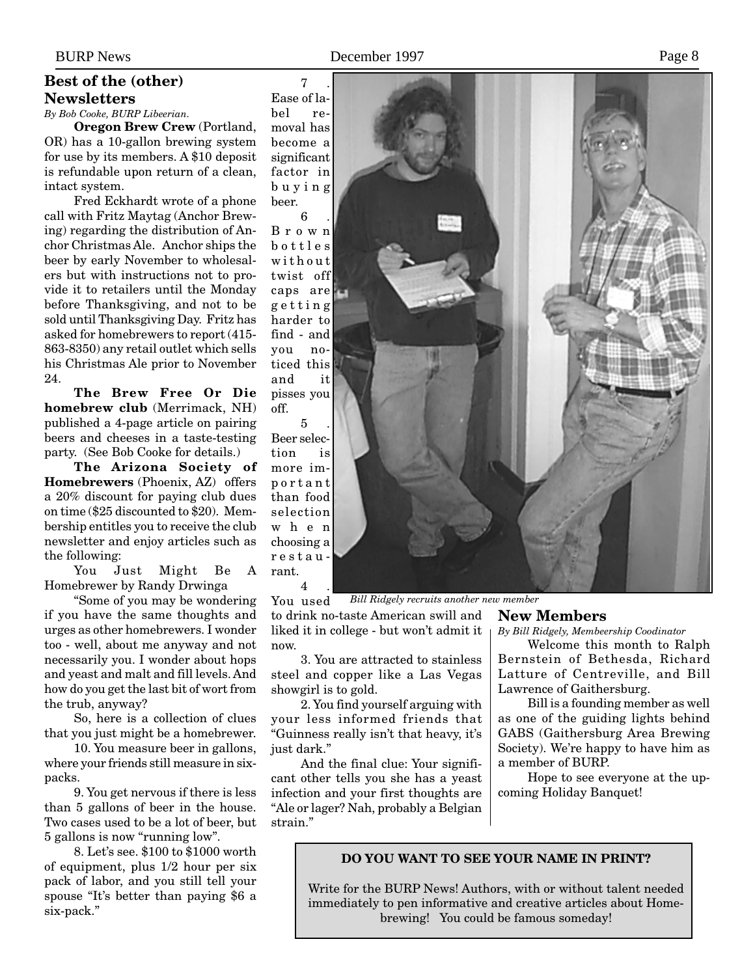#### **Best of the (other) Newsletters**

*By Bob Cooke, BURP Libeerian.*

**Oregon Brew Crew** (Portland, OR) has a 10-gallon brewing system for use by its members. A \$10 deposit is refundable upon return of a clean, intact system.

Fred Eckhardt wrote of a phone call with Fritz Maytag (Anchor Brewing) regarding the distribution of Anchor Christmas Ale. Anchor ships the beer by early November to wholesalers but with instructions not to provide it to retailers until the Monday before Thanksgiving, and not to be sold until Thanksgiving Day. Fritz has asked for homebrewers to report (415- 863-8350) any retail outlet which sells his Christmas Ale prior to November 24.

**The Brew Free Or Die homebrew club** (Merrimack, NH) published a 4-page article on pairing beers and cheeses in a taste-testing party. (See Bob Cooke for details.)

**The Arizona Society of Homebrewers** (Phoenix, AZ) offers a 20% discount for paying club dues on time (\$25 discounted to \$20). Membership entitles you to receive the club newsletter and enjoy articles such as the following:

You Just Might Be A Homebrewer by Randy Drwinga

"Some of you may be wondering if you have the same thoughts and urges as other homebrewers. I wonder too - well, about me anyway and not necessarily you. I wonder about hops and yeast and malt and fill levels. And how do you get the last bit of wort from the trub, anyway?

So, here is a collection of clues that you just might be a homebrewer.

10. You measure beer in gallons, where your friends still measure in sixpacks.

9. You get nervous if there is less than 5 gallons of beer in the house. Two cases used to be a lot of beer, but 5 gallons is now "running low".

8. Let's see. \$100 to \$1000 worth of equipment, plus 1/2 hour per six pack of labor, and you still tell your spouse "It's better than paying \$6 a six-pack."

<span id="page-7-0"></span>BURP News Page 8

7 . Ease of label re-

moval has become a significant factor in buying beer.

6 . Brown bottles without twist off caps are getting harder to find - and you noticed this and it pisses you off.

5 . Beer selection is more important than food selection when choosing a restaurant. 4 .



You used *Bill Ridgely recruits another new member*

to drink no-taste American swill and liked it in college - but won't admit it now.

3. You are attracted to stainless steel and copper like a Las Vegas showgirl is to gold.

2. You find yourself arguing with your less informed friends that "Guinness really isn't that heavy, it's just dark."

And the final clue: Your significant other tells you she has a yeast infection and your first thoughts are "Ale or lager? Nah, probably a Belgian strain."

### **New Members**

*By Bill Ridgely, Membeership Coodinator*

Welcome this month to Ralph Bernstein of Bethesda, Richard Latture of Centreville, and Bill Lawrence of Gaithersburg.

Bill is a founding member as well as one of the guiding lights behind GABS (Gaithersburg Area Brewing Society). We're happy to have him as a member of BURP.

Hope to see everyone at the upcoming Holiday Banquet!

#### **DO YOU WANT TO SEE YOUR NAME IN PRINT?**

Write for the BURP News! Authors, with or without talent needed immediately to pen informative and creative articles about Homebrewing! You could be famous someday!